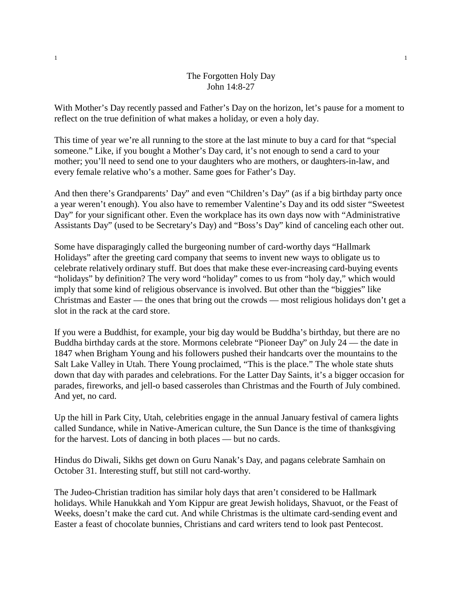## The Forgotten Holy Day John 14:8-27

With Mother's Day recently passed and Father's Day on the horizon, let's pause for a moment to reflect on the true definition of what makes a holiday, or even a holy day.

This time of year we're all running to the store at the last minute to buy a card for that "special someone." Like, if you bought a Mother's Day card, it's not enough to send a card to your mother; you'll need to send one to your daughters who are mothers, or daughters-in-law, and every female relative who's a mother. Same goes for Father's Day.

And then there's Grandparents' Day" and even "Children's Day" (as if a big birthday party once a year weren't enough). You also have to remember Valentine's Day and its odd sister "Sweetest Day" for your significant other. Even the workplace has its own days now with "Administrative Assistants Day" (used to be Secretary's Day) and "Boss's Day" kind of canceling each other out.

Some have disparagingly called the burgeoning number of card-worthy days "Hallmark Holidays" after the greeting card company that seems to invent new ways to obligate us to celebrate relatively ordinary stuff. But does that make these ever-increasing card-buying events "holidays" by definition? The very word "holiday" comes to us from "holy day," which would imply that some kind of religious observance is involved. But other than the "biggies" like Christmas and Easter — the ones that bring out the crowds — most religious holidays don't get a slot in the rack at the card store.

If you were a Buddhist, for example, your big day would be Buddha's birthday, but there are no Buddha birthday cards at the store. Mormons celebrate "Pioneer Day" on July 24 — the date in 1847 when Brigham Young and his followers pushed their handcarts over the mountains to the Salt Lake Valley in Utah. There Young proclaimed, "This is the place." The whole state shuts down that day with parades and celebrations. For the Latter Day Saints, it's a bigger occasion for parades, fireworks, and jell-o based casseroles than Christmas and the Fourth of July combined. And yet, no card.

Up the hill in Park City, Utah, celebrities engage in the annual January festival of camera lights called Sundance, while in Native-American culture, the Sun Dance is the time of thanksgiving for the harvest. Lots of dancing in both places — but no cards.

Hindus do Diwali, Sikhs get down on Guru Nanak's Day, and pagans celebrate Samhain on October 31. Interesting stuff, but still not card-worthy.

The Judeo-Christian tradition has similar holy days that aren't considered to be Hallmark holidays. While Hanukkah and Yom Kippur are great Jewish holidays, Shavuot, or the Feast of Weeks, doesn't make the card cut. And while Christmas is the ultimate card-sending event and Easter a feast of chocolate bunnies, Christians and card writers tend to look past Pentecost.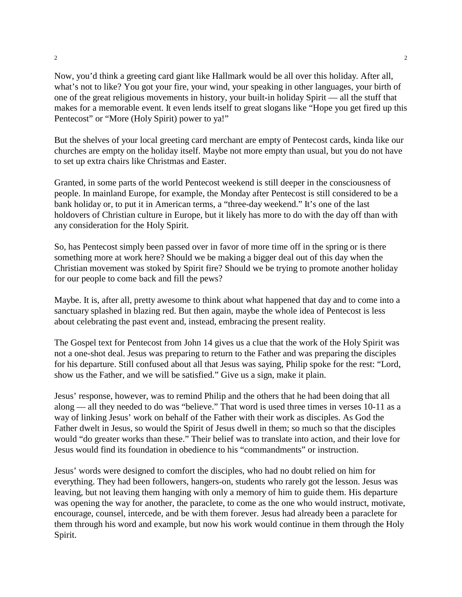Now, you'd think a greeting card giant like Hallmark would be all over this holiday. After all, what's not to like? You got your fire, your wind, your speaking in other languages, your birth of one of the great religious movements in history, your built-in holiday Spirit — all the stuff that makes for a memorable event. It even lends itself to great slogans like "Hope you get fired up this Pentecost" or "More (Holy Spirit) power to ya!"

But the shelves of your local greeting card merchant are empty of Pentecost cards, kinda like our churches are empty on the holiday itself. Maybe not more empty than usual, but you do not have to set up extra chairs like Christmas and Easter.

Granted, in some parts of the world Pentecost weekend is still deeper in the consciousness of people. In mainland Europe, for example, the Monday after Pentecost is still considered to be a bank holiday or, to put it in American terms, a "three-day weekend." It's one of the last holdovers of Christian culture in Europe, but it likely has more to do with the day off than with any consideration for the Holy Spirit.

So, has Pentecost simply been passed over in favor of more time off in the spring or is there something more at work here? Should we be making a bigger deal out of this day when the Christian movement was stoked by Spirit fire? Should we be trying to promote another holiday for our people to come back and fill the pews?

Maybe. It is, after all, pretty awesome to think about what happened that day and to come into a sanctuary splashed in blazing red. But then again, maybe the whole idea of Pentecost is less about celebrating the past event and, instead, embracing the present reality.

The Gospel text for Pentecost from John 14 gives us a clue that the work of the Holy Spirit was not a one-shot deal. Jesus was preparing to return to the Father and was preparing the disciples for his departure. Still confused about all that Jesus was saying, Philip spoke for the rest: "Lord, show us the Father, and we will be satisfied." Give us a sign, make it plain.

Jesus' response, however, was to remind Philip and the others that he had been doing that all along — all they needed to do was "believe." That word is used three times in verses 10-11 as a way of linking Jesus' work on behalf of the Father with their work as disciples. As God the Father dwelt in Jesus, so would the Spirit of Jesus dwell in them; so much so that the disciples would "do greater works than these." Their belief was to translate into action, and their love for Jesus would find its foundation in obedience to his "commandments" or instruction.

Jesus' words were designed to comfort the disciples, who had no doubt relied on him for everything. They had been followers, hangers-on, students who rarely got the lesson. Jesus was leaving, but not leaving them hanging with only a memory of him to guide them. His departure was opening the way for another, the paraclete, to come as the one who would instruct, motivate, encourage, counsel, intercede, and be with them forever. Jesus had already been a paraclete for them through his word and example, but now his work would continue in them through the Holy Spirit.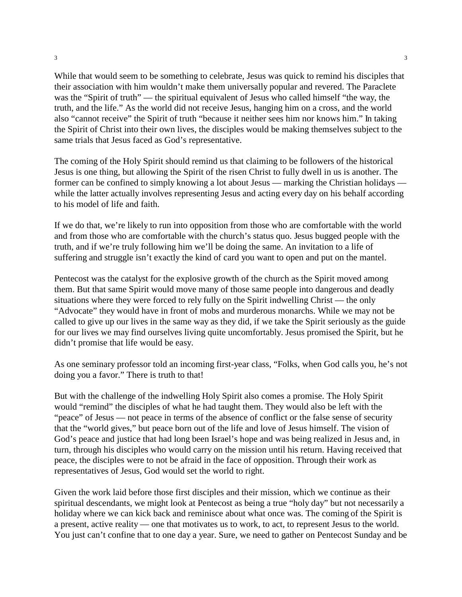While that would seem to be something to celebrate, Jesus was quick to remind his disciples that their association with him wouldn't make them universally popular and revered. The Paraclete was the "Spirit of truth" — the spiritual equivalent of Jesus who called himself "the way, the truth, and the life." As the world did not receive Jesus, hanging him on a cross, and the world also "cannot receive" the Spirit of truth "because it neither sees him nor knows him." In taking the Spirit of Christ into their own lives, the disciples would be making themselves subject to the same trials that Jesus faced as God's representative.

The coming of the Holy Spirit should remind us that claiming to be followers of the historical Jesus is one thing, but allowing the Spirit of the risen Christ to fully dwell in us is another. The former can be confined to simply knowing a lot about Jesus — marking the Christian holidays while the latter actually involves representing Jesus and acting every day on his behalf according to his model of life and faith.

If we do that, we're likely to run into opposition from those who are comfortable with the world and from those who are comfortable with the church's status quo. Jesus bugged people with the truth, and if we're truly following him we'll be doing the same. An invitation to a life of suffering and struggle isn't exactly the kind of card you want to open and put on the mantel.

Pentecost was the catalyst for the explosive growth of the church as the Spirit moved among them. But that same Spirit would move many of those same people into dangerous and deadly situations where they were forced to rely fully on the Spirit indwelling Christ — the only "Advocate" they would have in front of mobs and murderous monarchs. While we may not be called to give up our lives in the same way as they did, if we take the Spirit seriously as the guide for our lives we may find ourselves living quite uncomfortably. Jesus promised the Spirit, but he didn't promise that life would be easy.

As one seminary professor told an incoming first-year class, "Folks, when God calls you, he's not doing you a favor." There is truth to that!

But with the challenge of the indwelling Holy Spirit also comes a promise. The Holy Spirit would "remind" the disciples of what he had taught them. They would also be left with the "peace" of Jesus — not peace in terms of the absence of conflict or the false sense of security that the "world gives," but peace born out of the life and love of Jesus himself. The vision of God's peace and justice that had long been Israel's hope and was being realized in Jesus and, in turn, through his disciples who would carry on the mission until his return. Having received that peace, the disciples were to not be afraid in the face of opposition. Through their work as representatives of Jesus, God would set the world to right.

Given the work laid before those first disciples and their mission, which we continue as their spiritual descendants, we might look at Pentecost as being a true "holy day" but not necessarily a holiday where we can kick back and reminisce about what once was. The coming of the Spirit is a present, active reality — one that motivates us to work, to act, to represent Jesus to the world. You just can't confine that to one day a year. Sure, we need to gather on Pentecost Sunday and be